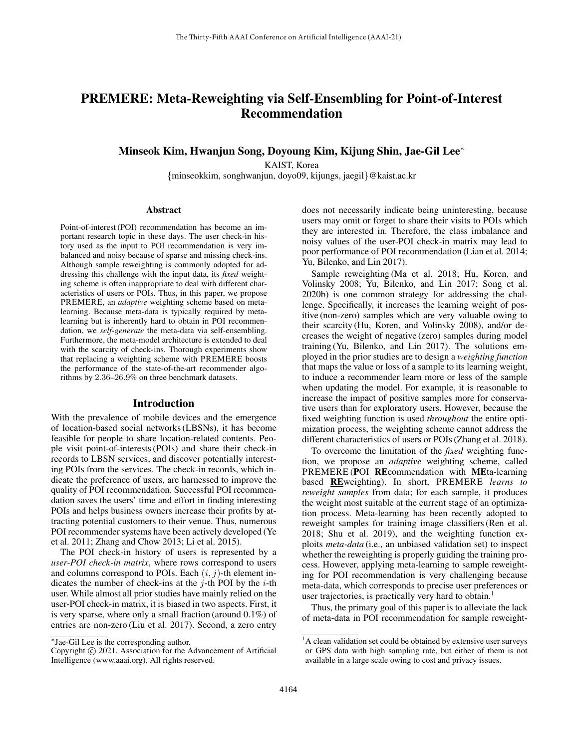# PREMERE: Meta-Reweighting via Self-Ensembling for Point-of-Interest Recommendation

Minseok Kim, Hwanjun Song, Doyoung Kim, Kijung Shin, Jae-Gil Lee<sup>∗</sup>

KAIST, Korea {minseokkim, songhwanjun, doyo09, kijungs, jaegil}@kaist.ac.kr

#### Abstract

Point-of-interest (POI) recommendation has become an important research topic in these days. The user check-in history used as the input to POI recommendation is very imbalanced and noisy because of sparse and missing check-ins. Although sample reweighting is commonly adopted for addressing this challenge with the input data, its *fixed* weighting scheme is often inappropriate to deal with different characteristics of users or POIs. Thus, in this paper, we propose PREMERE, an *adaptive* weighting scheme based on metalearning. Because meta-data is typically required by metalearning but is inherently hard to obtain in POI recommendation, we *self-generate* the meta-data via self-ensembling. Furthermore, the meta-model architecture is extended to deal with the scarcity of check-ins. Thorough experiments show that replacing a weighting scheme with PREMERE boosts the performance of the state-of-the-art recommender algorithms by 2.36–26.9% on three benchmark datasets.

## Introduction

With the prevalence of mobile devices and the emergence of location-based social networks (LBSNs), it has become feasible for people to share location-related contents. People visit point-of-interests (POIs) and share their check-in records to LBSN services, and discover potentially interesting POIs from the services. The check-in records, which indicate the preference of users, are harnessed to improve the quality of POI recommendation. Successful POI recommendation saves the users' time and effort in finding interesting POIs and helps business owners increase their profits by attracting potential customers to their venue. Thus, numerous POI recommender systems have been actively developed (Ye et al. 2011; Zhang and Chow 2013; Li et al. 2015).

The POI check-in history of users is represented by a *user-POI check-in matrix*, where rows correspond to users and columns correspond to POIs. Each  $(i, j)$ -th element indicates the number of check-ins at the  $i$ -th POI by the  $i$ -th user. While almost all prior studies have mainly relied on the user-POI check-in matrix, it is biased in two aspects. First, it is very sparse, where only a small fraction (around 0.1%) of entries are non-zero (Liu et al. 2017). Second, a zero entry

does not necessarily indicate being uninteresting, because users may omit or forget to share their visits to POIs which they are interested in. Therefore, the class imbalance and noisy values of the user-POI check-in matrix may lead to poor performance of POI recommendation (Lian et al. 2014; Yu, Bilenko, and Lin 2017).

Sample reweighting (Ma et al. 2018; Hu, Koren, and Volinsky 2008; Yu, Bilenko, and Lin 2017; Song et al. 2020b) is one common strategy for addressing the challenge. Specifically, it increases the learning weight of positive (non-zero) samples which are very valuable owing to their scarcity (Hu, Koren, and Volinsky 2008), and/or decreases the weight of negative (zero) samples during model training (Yu, Bilenko, and Lin 2017). The solutions employed in the prior studies are to design a *weighting function* that maps the value or loss of a sample to its learning weight, to induce a recommender learn more or less of the sample when updating the model. For example, it is reasonable to increase the impact of positive samples more for conservative users than for exploratory users. However, because the fixed weighting function is used *throughout* the entire optimization process, the weighting scheme cannot address the different characteristics of users or POIs (Zhang et al. 2018).

To overcome the limitation of the *fixed* weighting function, we propose an *adaptive* weighting scheme, called PREMERE (POI REcommendation with MEta-learning based REweighting). In short, PREMERE *learns to reweight samples* from data; for each sample, it produces the weight most suitable at the current stage of an optimization process. Meta-learning has been recently adopted to reweight samples for training image classifiers (Ren et al. 2018; Shu et al. 2019), and the weighting function exploits *meta-data* (i.e., an unbiased validation set) to inspect whether the reweighting is properly guiding the training process. However, applying meta-learning to sample reweighting for POI recommendation is very challenging because meta-data, which corresponds to precise user preferences or user trajectories, is practically very hard to obtain.<sup>1</sup>

Thus, the primary goal of this paper is to alleviate the lack of meta-data in POI recommendation for sample reweight-

<sup>∗</sup> Jae-Gil Lee is the corresponding author.

Copyright © 2021, Association for the Advancement of Artificial Intelligence (www.aaai.org). All rights reserved.

 $<sup>1</sup>A$  clean validation set could be obtained by extensive user surveys</sup> or GPS data with high sampling rate, but either of them is not available in a large scale owing to cost and privacy issues.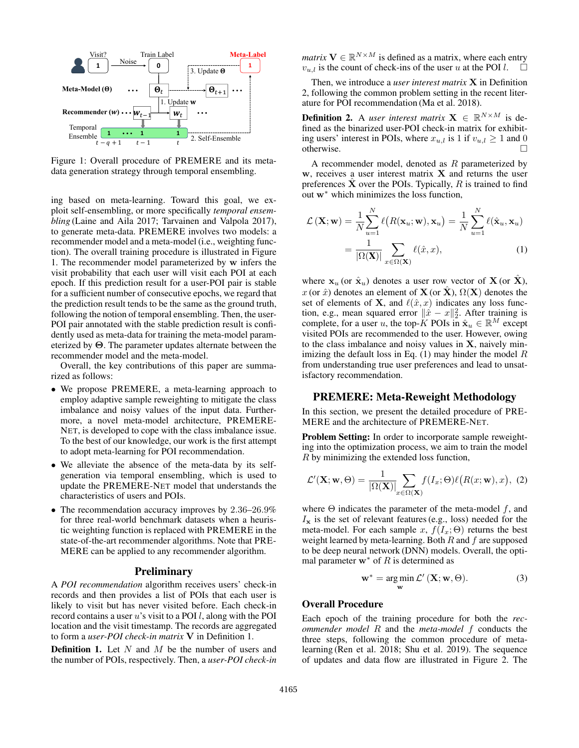

Figure 1: Overall procedure of PREMERE and its metadata generation strategy through temporal ensembling.

ing based on meta-learning. Toward this goal, we exploit self-ensembling, or more specifically *temporal ensembling* (Laine and Aila 2017; Tarvainen and Valpola 2017), to generate meta-data. PREMERE involves two models: a recommender model and a meta-model (i.e., weighting function). The overall training procedure is illustrated in Figure 1. The recommender model parameterized by w infers the visit probability that each user will visit each POI at each epoch. If this prediction result for a user-POI pair is stable for a sufficient number of consecutive epochs, we regard that the prediction result tends to be the same as the ground truth, following the notion of temporal ensembling. Then, the user-POI pair annotated with the stable prediction result is confidently used as meta-data for training the meta-model parameterized by Θ. The parameter updates alternate between the recommender model and the meta-model.

Overall, the key contributions of this paper are summarized as follows:

- We propose PREMERE, a meta-learning approach to employ adaptive sample reweighting to mitigate the class imbalance and noisy values of the input data. Furthermore, a novel meta-model architecture, PREMERE-NET, is developed to cope with the class imbalance issue. To the best of our knowledge, our work is the first attempt to adopt meta-learning for POI recommendation.
- We alleviate the absence of the meta-data by its selfgeneration via temporal ensembling, which is used to update the PREMERE-NET model that understands the characteristics of users and POIs.
- The recommendation accuracy improves by 2.36–26.9% for three real-world benchmark datasets when a heuristic weighting function is replaced with PREMERE in the state-of-the-art recommender algorithms. Note that PRE-MERE can be applied to any recommender algorithm.

# **Preliminary**

A *POI recommendation* algorithm receives users' check-in records and then provides a list of POIs that each user is likely to visit but has never visited before. Each check-in record contains a user  $u$ 's visit to a POI  $l$ , along with the POI location and the visit timestamp. The records are aggregated to form a *user-POI check-in matrix* V in Definition 1.

**Definition 1.** Let  $N$  and  $M$  be the number of users and the number of POIs, respectively. Then, a *user-POI check-in*

*matrix*  $V \in \mathbb{R}^{N \times M}$  is defined as a matrix, where each entry  $v_{u,l}$  is the count of check-ins of the user u at the POI l.

Then, we introduce a *user interest matrix* X in Definition 2, following the common problem setting in the recent literature for POI recommendation (Ma et al. 2018).

**Definition 2.** A *user interest matrix*  $X \in \mathbb{R}^{N \times M}$  is defined as the binarized user-POI check-in matrix for exhibiting users' interest in POIs, where  $x_{u,l}$  is 1 if  $v_{u,l} \ge 1$  and 0 otherwise.

A recommender model, denoted as  $R$  parameterized by  $w$ , receives a user interest matrix  $X$  and returns the user preferences  $X$  over the POIs. Typically,  $R$  is trained to find out w<sup>∗</sup> which minimizes the loss function,

$$
\mathcal{L}(\mathbf{X}; \mathbf{w}) = \frac{1}{N} \sum_{u=1}^{N} \ell(R(\mathbf{x}_u; \mathbf{w}), \mathbf{x}_u) = \frac{1}{N} \sum_{u=1}^{N} \ell(\hat{\mathbf{x}}_u, \mathbf{x}_u)
$$

$$
= \frac{1}{|\Omega(\mathbf{X})|} \sum_{x \in \Omega(\mathbf{X})} \ell(\hat{x}, x), \tag{1}
$$

where  $x_u$  (or  $\hat{x}_u$ ) denotes a user row vector of  $X$  (or  $X$ ), x (or  $\hat{x}$ ) denotes an element of **X** (or  $\hat{\mathbf{X}}$ ),  $\Omega(\mathbf{X})$  denotes the set of elements of **X**, and  $\ell(\hat{x}, x)$  indicates any loss function, e.g., mean squared error  $\|\hat{x} - x\|_2^2$ . After training is complete, for a user u, the top-K POIs in  $\hat{\mathbf{x}}_u \in \mathbb{R}^M$  except visited POIs are recommended to the user. However, owing to the class imbalance and noisy values in X, naively minimizing the default loss in Eq.  $(1)$  may hinder the model  $R$ from understanding true user preferences and lead to unsatisfactory recommendation.

## PREMERE: Meta-Reweight Methodology

In this section, we present the detailed procedure of PRE-MERE and the architecture of PREMERE-NET.

Problem Setting: In order to incorporate sample reweighting into the optimization process, we aim to train the model R by minimizing the extended loss function,

$$
\mathcal{L}'(\mathbf{X}; \mathbf{w}, \Theta) = \frac{1}{|\Omega(\mathbf{X})|} \sum_{x \in \Omega(\mathbf{X})} f(I_x; \Theta) \ell(R(x; \mathbf{w}), x), \tag{2}
$$

where  $\Theta$  indicates the parameter of the meta-model f, and  $I_x$  is the set of relevant features (e.g., loss) needed for the meta-model. For each sample x,  $f(I_x; \Theta)$  returns the best weight learned by meta-learning. Both  $R$  and  $f$  are supposed to be deep neural network (DNN) models. Overall, the optimal parameter  $w^*$  of R is determined as

$$
\mathbf{w}^* = \underset{\mathbf{w}}{\arg\min} \mathcal{L}'\left(\mathbf{X}; \mathbf{w}, \Theta\right). \tag{3}
$$

# Overall Procedure

Each epoch of the training procedure for both the *recommender model* R and the *meta-model* f conducts the three steps, following the common procedure of metalearning (Ren et al. 2018; Shu et al. 2019). The sequence of updates and data flow are illustrated in Figure 2. The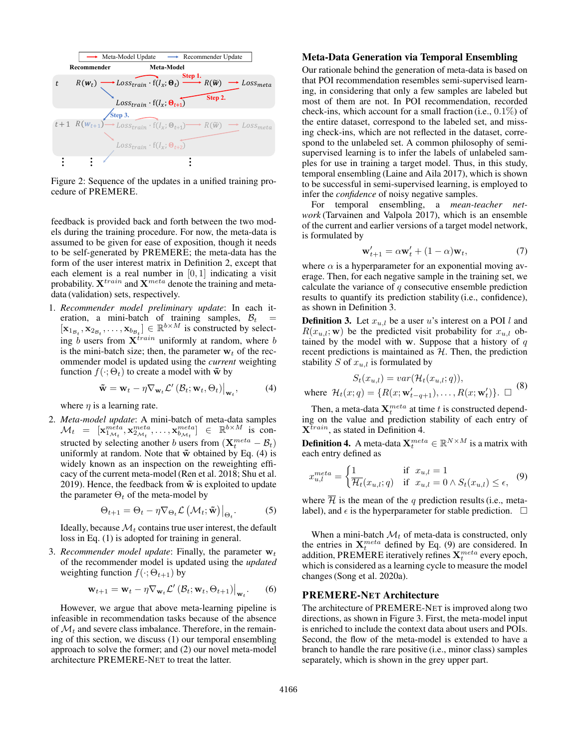

Figure 2: Sequence of the updates in a unified training procedure of PREMERE.

feedback is provided back and forth between the two models during the training procedure. For now, the meta-data is assumed to be given for ease of exposition, though it needs to be self-generated by PREMERE; the meta-data has the form of the user interest matrix in Definition 2, except that each element is a real number in  $[0, 1]$  indicating a visit probability.  $X^{train}$  and  $X^{meta}$  denote the training and metadata (validation) sets, respectively.

1. *Recommender model preliminary update*: In each iteration, a mini-batch of training samples,  $B_t$  =  $[\mathbf{x}_{1_{\mathcal{B}_t}}, \mathbf{x}_{2_{\mathcal{B}_t}}, \dots, \mathbf{x}_{b_{\mathcal{B}_t}}] \in \mathbb{R}^{b \times M}$  is constructed by selecting b users from  $X^{train}$  uniformly at random, where b is the mini-batch size; then, the parameter  $w_t$  of the recommender model is updated using the *current* weighting function  $f(\cdot; \Theta_t)$  to create a model with  $\tilde{\mathbf{w}}$  by

$$
\tilde{\mathbf{w}} = \mathbf{w}_t - \eta \nabla_{\mathbf{w}_t} \mathcal{L}' \left( \mathcal{B}_t; \mathbf{w}_t, \Theta_t \right) \big|_{\mathbf{w}_t}, \tag{4}
$$

where  $\eta$  is a learning rate.

2. *Meta-model update*: A mini-batch of meta-data samples  $\mathcal{M}_t$  =  $[\mathbf{x}_{1_{\mathcal{M}_t}}^{meta}, \mathbf{x}_{2_{\mathcal{M}_t}}^{meta}, \dots, \mathbf{x}_{b_{\mathcal{M}_t}}^{meta}]$   $\in$   $\mathbb{R}^{b \times M}$  is constructed by selecting another b users from  $(\mathbf{X}_t^{meta} - \mathcal{B}_t)$ uniformly at random. Note that  $\tilde{w}$  obtained by Eq. (4) is widely known as an inspection on the reweighting efficacy of the current meta-model (Ren et al. 2018; Shu et al. 2019). Hence, the feedback from  $\tilde{w}$  is exploited to update the parameter  $\Theta_t$  of the meta-model by

$$
\Theta_{t+1} = \Theta_t - \eta \nabla_{\Theta_t} \mathcal{L} \left( \mathcal{M}_t; \tilde{\mathbf{w}} \right) \big|_{\Theta_t}.
$$
 (5)

Ideally, because  $\mathcal{M}_t$  contains true user interest, the default loss in Eq. (1) is adopted for training in general.

3. *Recommender model update*: Finally, the parameter  $w_t$ of the recommender model is updated using the *updated* weighting function  $f(\cdot; \Theta_{t+1})$  by

$$
\mathbf{w}_{t+1} = \mathbf{w}_t - \eta \nabla_{\mathbf{w}_t} \mathcal{L}'\left(\mathcal{B}_t; \mathbf{w}_t, \Theta_{t+1}\right)\big|_{\mathbf{w}_t}.
$$
 (6)

However, we argue that above meta-learning pipeline is infeasible in recommendation tasks because of the absence of  $\mathcal{M}_t$  and severe class imbalance. Therefore, in the remaining of this section, we discuss (1) our temporal ensembling approach to solve the former; and (2) our novel meta-model architecture PREMERE-NET to treat the latter.

# Meta-Data Generation via Temporal Ensembling

Our rationale behind the generation of meta-data is based on that POI recommendation resembles semi-supervised learning, in considering that only a few samples are labeled but most of them are not. In POI recommendation, recorded check-ins, which account for a small fraction (i.e., 0.1%) of the entire dataset, correspond to the labeled set, and missing check-ins, which are not reflected in the dataset, correspond to the unlabeled set. A common philosophy of semisupervised learning is to infer the labels of unlabeled samples for use in training a target model. Thus, in this study, temporal ensembling (Laine and Aila 2017), which is shown to be successful in semi-supervised learning, is employed to infer the *confidence* of noisy negative samples.

For temporal ensembling, a *mean-teacher network* (Tarvainen and Valpola 2017), which is an ensemble of the current and earlier versions of a target model network, is formulated by

$$
\mathbf{w}'_{t+1} = \alpha \mathbf{w}'_t + (1 - \alpha) \mathbf{w}_t, \tag{7}
$$

where  $\alpha$  is a hyperparameter for an exponential moving average. Then, for each negative sample in the training set, we calculate the variance of  $q$  consecutive ensemble prediction results to quantify its prediction stability (i.e., confidence), as shown in Definition 3.

**Definition 3.** Let  $x_{u,l}$  be a user u's interest on a POI l and  $R(x_{u,l}; \mathbf{w})$  be the predicted visit probability for  $x_{u,l}$  obtained by the model with w. Suppose that a history of  $q$ recent predictions is maintained as  $H$ . Then, the prediction stability S of  $x_{u,l}$  is formulated by

$$
S_t(x_{u,l}) = var(\mathcal{H}_t(x_{u,l};q)),
$$
  
where  $\mathcal{H}_t(x; q) = \{R(x; \mathbf{w}'_{t-q+1}), \dots, R(x; \mathbf{w}'_t)\}.$   $\Box$  (8)

Then, a meta-data  $\mathbf{X}_t^{meta}$  at time t is constructed depending on the value and prediction stability of each entry of  $X^{train}$ , as stated in Definition 4.

**Definition 4.** A meta-data  $\mathbf{X}_t^{meta} \in \mathbb{R}^{N \times M}$  is a matrix with each entry defined as

$$
x_{u,l}^{meta} = \begin{cases} 1 & \text{if } x_{u,l} = 1\\ \overline{\mathcal{H}_t}(x_{u,l};q) & \text{if } x_{u,l} = 0 \land S_t(x_{u,l}) \le \epsilon, \end{cases} \tag{9}
$$

where  $\overline{\mathcal{H}}$  is the mean of the q prediction results (i.e., metalabel), and  $\epsilon$  is the hyperparameter for stable prediction.  $\Box$ 

When a mini-batch  $\mathcal{M}_t$  of meta-data is constructed, only the entries in  $X_t^{meta}$  defined by Eq. (9) are considered. In addition, PREMERE iteratively refines  $\mathbf{X}_t^{meta}$  every epoch, which is considered as a learning cycle to measure the model changes (Song et al. 2020a).

# PREMERE-NET Architecture

The architecture of PREMERE-NET is improved along two directions, as shown in Figure 3. First, the meta-model input is enriched to include the context data about users and POIs. Second, the flow of the meta-model is extended to have a branch to handle the rare positive (i.e., minor class) samples separately, which is shown in the grey upper part.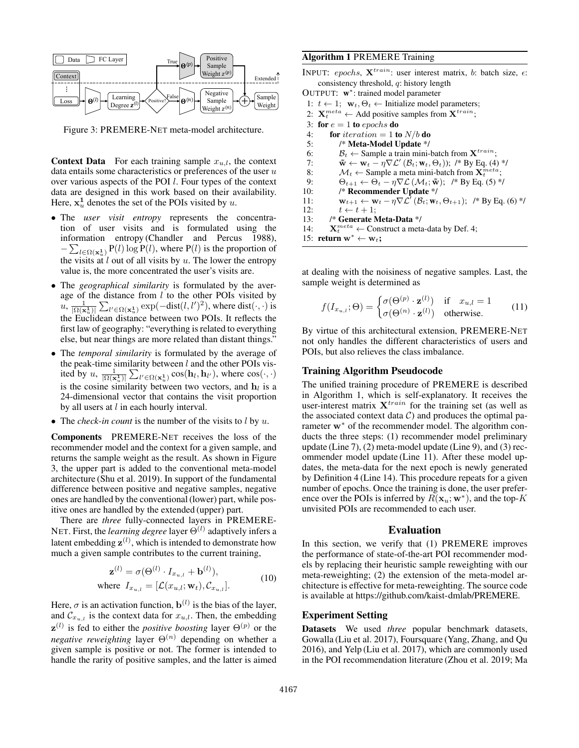

Figure 3: PREMERE-NET meta-model architecture.

**Context Data** For each training sample  $x_{u,l}$ , the context data entails some characteristics or preferences of the user  $u$ over various aspects of the POI l. Four types of the context data are designed in this work based on their availability. Here,  $x_u^1$  denotes the set of the POIs visited by u.

- The *user visit entropy* represents the concentration of user visits and is formulated using the information entropy (Chandler and Percus 1988),  $-\sum_{l \in \Omega(\mathbf{x}_{u}^{1})} P(l) \log P(l)$ , where  $P(l)$  is the proportion of the visits at  $l$  out of all visits by  $u$ . The lower the entropy value is, the more concentrated the user's visits are.
- The *geographical similarity* is formulated by the average of the distance from  $l$  to the other POIs visited by  $u, \frac{1}{|\Omega(\mathbf{x}_u^1)|} \sum_{l' \in \Omega(\mathbf{x}_u^1)} \exp(-\text{dist}(l, l')^2)$ , where  $\text{dist}(\cdot, \cdot)$  is the Euclidean distance between two POIs. It reflects the first law of geography: "everything is related to everything else, but near things are more related than distant things."
- The *temporal similarity* is formulated by the average of the peak-time similarity between  $l$  and the other POIs visited by  $u$ ,  $\frac{1}{|\Omega(\mathbf{x}_u^1)|} \sum_{l' \in \Omega(\mathbf{x}_u^1)} \cos(\mathbf{h}_l, \mathbf{h}_{l'})$ , where  $\cos(\cdot, \cdot)$ is the cosine similarity between two vectors, and  $\mathbf{h}_l$  is a 24-dimensional vector that contains the visit proportion by all users at  $l$  in each hourly interval.
- The *check-in count* is the number of the visits to  $l$  by  $u$ .

Components PREMERE-NET receives the loss of the recommender model and the context for a given sample, and returns the sample weight as the result. As shown in Figure 3, the upper part is added to the conventional meta-model architecture (Shu et al. 2019). In support of the fundamental difference between positive and negative samples, negative ones are handled by the conventional (lower) part, while positive ones are handled by the extended (upper) part.

There are *three* fully-connected layers in PREMERE-NET. First, the *learning degree* layer  $\Theta^{(l)}$  adaptively infers a latent embedding  $\mathbf{z}^{(l)}$ , which is intended to demonstrate how much a given sample contributes to the current training,

$$
\mathbf{z}^{(l)} = \sigma(\Theta^{(l)} \cdot I_{x_{u,l}} + \mathbf{b}^{(l)}),
$$
  
where  $I_{x_{u,l}} = [\mathcal{L}(x_{u,l}; \mathbf{w}_t), C_{x_{u,l}}].$  (10)

Here,  $\sigma$  is an activation function,  $\mathbf{b}^{(l)}$  is the bias of the layer, and  $\mathcal{C}_{x_{u,l}}$  is the context data for  $x_{u,l}$ . Then, the embedding  $z^{(l)}$  is fed to either the *positive boosting* layer  $\Theta^{(p)}$  or the *negative reweighting* layer  $\Theta^{(n)}$  depending on whether a given sample is positive or not. The former is intended to handle the rarity of positive samples, and the latter is aimed

# Algorithm 1 PREMERE Training

INPUT: epochs,  $X^{train}$ : user interest matrix, b: batch size,  $\epsilon$ : consistency threshold, q: history length

- OUTPUT: w<sup>\*</sup>: trained model parameter
- 1:  $t \leftarrow 1$ ;  $\mathbf{w}_t, \Theta_t \leftarrow$  Initialize model parameters;
- 2:  $\mathbf{X}_t^{meta} \leftarrow$  Add positive samples from  $\mathbf{X}^{train}$ ;
- 3: for  $e = 1$  to epochs do
- 4: for *iteration* = 1 to  $N/b$  do<br>5: /\* Meta-Model Update \*/
- /\* Meta-Model Update \*/
- 6:  $B_t \leftarrow$  Sample a train mini-batch from  $\mathbf{X}^{train}$ ;<br>7:  $\tilde{\mathbf{w}} \leftarrow \mathbf{w}_t \eta \nabla \mathcal{L}'(B_t; \mathbf{w}_t, \Theta_t)$ : /\* By Eq. (4)
- 7:  $\tilde{\mathbf{w}} \leftarrow \mathbf{w}_t \eta \nabla \mathcal{L}' (\mathcal{B}_t; \mathbf{w}_t, \Theta_t)$ ; /\* By Eq. (4) \*/
- 8:  $\mathcal{M}_t \leftarrow$  Sample a meta mini-batch from  $\mathbf{X}_t^{meta}$ ;
- 9:  $\Theta_{t+1} \leftarrow \Theta_t \eta \nabla \mathcal{L} (\mathcal{M}_t; \mathbf{\tilde{w}});$  /\* By Eq. (5) \*/<br>10: /\* **Recommender Update** \*/
	- /\* Recommender Update \*/
- 11:  $\mathbf{w}_{t+1} \leftarrow \mathbf{w}_t \eta \nabla \mathcal{L}^{\dagger}(\mathcal{B}_t; \mathbf{w}_t, \Theta_{t+1});$  /\* By Eq. (6) \*/
- 12:  $t \leftarrow t + 1;$
- 13: /\* Generate Meta-Data \*/
- 14:  $\mathbf{X}_t^{meta} \leftarrow$  Construct a meta-data by Def. 4;

15: return w<sup>\*</sup> ← w<sub>t</sub>;

at dealing with the noisiness of negative samples. Last, the sample weight is determined as

$$
f(I_{x_{u,l}};\Theta) = \begin{cases} \sigma(\Theta^{(p)} \cdot \mathbf{z}^{(l)}) & \text{if } x_{u,l} = 1\\ \sigma(\Theta^{(n)} \cdot \mathbf{z}^{(l)}) & \text{otherwise.} \end{cases}
$$
 (11)

By virtue of this architectural extension, PREMERE-NET not only handles the different characteristics of users and POIs, but also relieves the class imbalance.

# Training Algorithm Pseudocode

The unified training procedure of PREMERE is described in Algorithm 1, which is self-explanatory. It receives the user-interest matrix  $X^{train}$  for the training set (as well as the associated context data  $C$ ) and produces the optimal parameter w<sup>∗</sup> of the recommender model. The algorithm conducts the three steps: (1) recommender model preliminary update (Line 7), (2) meta-model update (Line 9), and (3) recommender model update (Line 11). After these model updates, the meta-data for the next epoch is newly generated by Definition 4 (Line 14). This procedure repeats for a given number of epochs. Once the training is done, the user preference over the POIs is inferred by  $R(\mathbf{x}_u; \mathbf{w}^*)$ , and the top-K unvisited POIs are recommended to each user.

#### Evaluation

In this section, we verify that (1) PREMERE improves the performance of state-of-the-art POI recommender models by replacing their heuristic sample reweighting with our meta-reweighting; (2) the extension of the meta-model architecture is effective for meta-reweighting. The source code is available at https://github.com/kaist-dmlab/PREMERE.

# Experiment Setting

Datasets We used *three* popular benchmark datasets, Gowalla (Liu et al. 2017), Foursquare (Yang, Zhang, and Qu 2016), and Yelp (Liu et al. 2017), which are commonly used in the POI recommendation literature (Zhou et al. 2019; Ma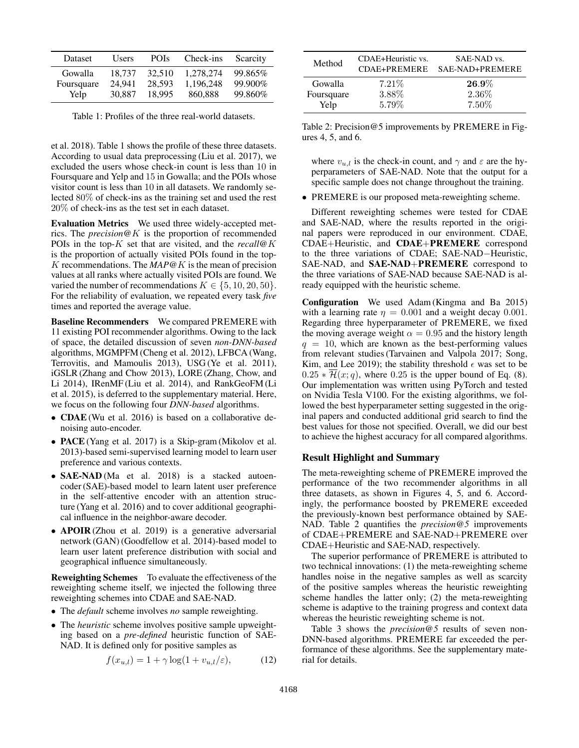| <b>Dataset</b> | <b>Users</b> | <b>POIs</b> | Check-ins | Scarcity |
|----------------|--------------|-------------|-----------|----------|
| Gowalla        | 18.737       | 32,510      | 1,278,274 | 99.865%  |
| Foursquare     | 24.941       | 28.593      | 1,196,248 | 99.900%  |
| Yelp           | 30.887       | 18.995      | 860,888   | 99.860%  |

Table 1: Profiles of the three real-world datasets.

et al. 2018). Table 1 shows the profile of these three datasets. According to usual data preprocessing (Liu et al. 2017), we excluded the users whose check-in count is less than 10 in Foursquare and Yelp and 15 in Gowalla; and the POIs whose visitor count is less than 10 in all datasets. We randomly selected 80% of check-ins as the training set and used the rest 20% of check-ins as the test set in each dataset.

Evaluation Metrics We used three widely-accepted metrics. The *precision@*K is the proportion of recommended POIs in the top-K set that are visited, and the *recall@*K is the proportion of actually visited POIs found in the top-K recommendations. The *MAP@*K is the mean of precision values at all ranks where actually visited POIs are found. We varied the number of recommendations  $K \in \{5, 10, 20, 50\}.$ For the reliability of evaluation, we repeated every task *five* times and reported the average value.

Baseline Recommenders We compared PREMERE with 11 existing POI recommender algorithms. Owing to the lack of space, the detailed discussion of seven *non-DNN-based* algorithms, MGMPFM (Cheng et al. 2012), LFBCA (Wang, Terrovitis, and Mamoulis 2013), USG (Ye et al. 2011), iGSLR (Zhang and Chow 2013), LORE (Zhang, Chow, and Li 2014), IRenMF (Liu et al. 2014), and RankGeoFM (Li et al. 2015), is deferred to the supplementary material. Here, we focus on the following four *DNN-based* algorithms.

- **CDAE** (Wu et al. 2016) is based on a collaborative denoising auto-encoder.
- PACE (Yang et al. 2017) is a Skip-gram (Mikolov et al. 2013)-based semi-supervised learning model to learn user preference and various contexts.
- **SAE-NAD** (Ma et al. 2018) is a stacked autoencoder (SAE)-based model to learn latent user preference in the self-attentive encoder with an attention structure (Yang et al. 2016) and to cover additional geographical influence in the neighbor-aware decoder.
- APOIR (Zhou et al. 2019) is a generative adversarial network (GAN) (Goodfellow et al. 2014)-based model to learn user latent preference distribution with social and geographical influence simultaneously.

Reweighting Schemes To evaluate the effectiveness of the reweighting scheme itself, we injected the following three reweighting schemes into CDAE and SAE-NAD.

- The *default* scheme involves *no* sample reweighting.
- The *heuristic* scheme involves positive sample upweighting based on a *pre-defined* heuristic function of SAE-NAD. It is defined only for positive samples as

$$
f(x_{u,l}) = 1 + \gamma \log(1 + v_{u,l}/\varepsilon), \tag{12}
$$

| Method     | CDAE+Heuristic vs.<br>CDAE+PREMERE | SAE-NAD vs.<br>SAE-NAD+PREMERE |
|------------|------------------------------------|--------------------------------|
| Gowalla    | 7.21%                              | $26.9\%$                       |
| Foursquare | 3.88%                              | 2.36\%                         |
| Yelp       | 5.79%                              | 7.50%                          |

Table 2: Precision@5 improvements by PREMERE in Figures 4, 5, and 6.

where  $v_{u,l}$  is the check-in count, and  $\gamma$  and  $\varepsilon$  are the hyperparameters of SAE-NAD. Note that the output for a specific sample does not change throughout the training.

• PREMERE is our proposed meta-reweighting scheme.

Different reweighting schemes were tested for CDAE and SAE-NAD, where the results reported in the original papers were reproduced in our environment. CDAE, CDAE+Heuristic, and CDAE+PREMERE correspond to the three variations of CDAE; SAE-NAD−Heuristic, SAE-NAD, and SAE-NAD+PREMERE correspond to the three variations of SAE-NAD because SAE-NAD is already equipped with the heuristic scheme.

Configuration We used Adam (Kingma and Ba 2015) with a learning rate  $\eta = 0.001$  and a weight decay 0.001. Regarding three hyperparameter of PREMERE, we fixed the moving average weight  $\alpha = 0.95$  and the history length  $q = 10$ , which are known as the best-performing values from relevant studies (Tarvainen and Valpola 2017; Song, Kim, and Lee 2019); the stability threshold  $\epsilon$  was set to be  $0.25 * \overline{\mathcal{H}}(x; q)$ , where 0.25 is the upper bound of Eq. (8). Our implementation was written using PyTorch and tested on Nvidia Tesla V100. For the existing algorithms, we followed the best hyperparameter setting suggested in the original papers and conducted additional grid search to find the best values for those not specified. Overall, we did our best to achieve the highest accuracy for all compared algorithms.

## Result Highlight and Summary

The meta-reweighting scheme of PREMERE improved the performance of the two recommender algorithms in all three datasets, as shown in Figures 4, 5, and 6. Accordingly, the performance boosted by PREMERE exceeded the previously-known best performance obtained by SAE-NAD. Table 2 quantifies the *precision@5* improvements of CDAE+PREMERE and SAE-NAD+PREMERE over CDAE+Heuristic and SAE-NAD, respectively.

The superior performance of PREMERE is attributed to two technical innovations: (1) the meta-reweighting scheme handles noise in the negative samples as well as scarcity of the positive samples whereas the heuristic reweighting scheme handles the latter only; (2) the meta-reweighting scheme is adaptive to the training progress and context data whereas the heuristic reweighting scheme is not.

Table 3 shows the *precision@5* results of seven non-DNN-based algorithms. PREMERE far exceeded the performance of these algorithms. See the supplementary material for details.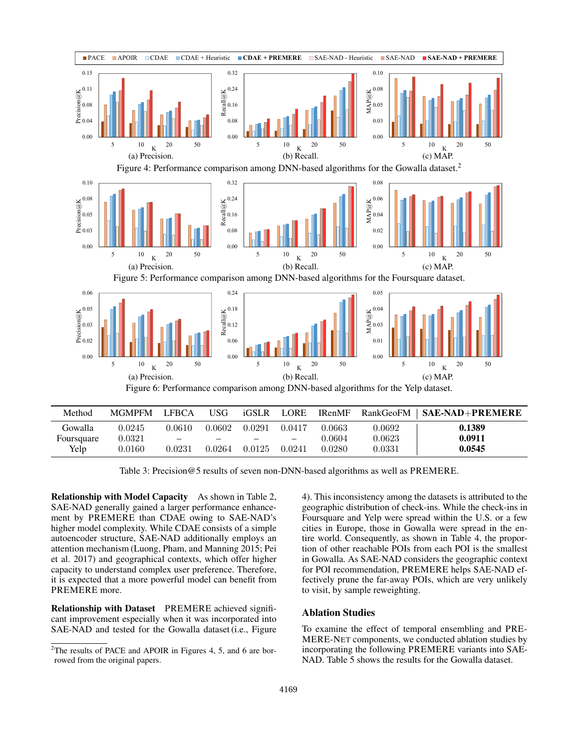

Table 3: Precision@5 results of seven non-DNN-based algorithms as well as PREMERE.

Relationship with Model Capacity As shown in Table 2, SAE-NAD generally gained a larger performance enhancement by PREMERE than CDAE owing to SAE-NAD's higher model complexity. While CDAE consists of a simple autoencoder structure, SAE-NAD additionally employs an attention mechanism (Luong, Pham, and Manning 2015; Pei et al. 2017) and geographical contexts, which offer higher capacity to understand complex user preference. Therefore, it is expected that a more powerful model can benefit from PREMERE more.

Relationship with Dataset PREMERE achieved significant improvement especially when it was incorporated into SAE-NAD and tested for the Gowalla dataset (i.e., Figure

4). This inconsistency among the datasets is attributed to the geographic distribution of check-ins. While the check-ins in Foursquare and Yelp were spread within the U.S. or a few cities in Europe, those in Gowalla were spread in the entire world. Consequently, as shown in Table 4, the proportion of other reachable POIs from each POI is the smallest in Gowalla. As SAE-NAD considers the geographic context for POI recommendation, PREMERE helps SAE-NAD effectively prune the far-away POIs, which are very unlikely to visit, by sample reweighting.

# Ablation Studies

To examine the effect of temporal ensembling and PRE-MERE-NET components, we conducted ablation studies by incorporating the following PREMERE variants into SAE-NAD. Table 5 shows the results for the Gowalla dataset.

 $2$ The results of PACE and APOIR in Figures 4, 5, and 6 are borrowed from the original papers.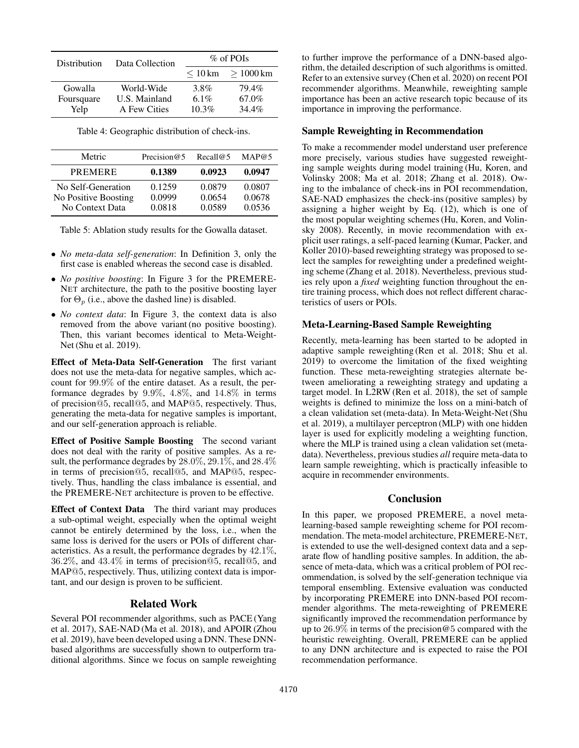| <b>Distribution</b> | Data Collection | $\%$ of POIs            |            |
|---------------------|-----------------|-------------------------|------------|
|                     |                 | $\leq 10 \,\mathrm{km}$ | $>1000$ km |
| Gowalla             | World-Wide      | 3.8%                    | 79.4%      |
| Foursquare          | U.S. Mainland   | 6.1%                    | 67.0%      |
| Yelp                | A Few Cities    | 10.3%                   | 34.4%      |

Table 4: Geographic distribution of check-ins.

| Metric                                                        | Precision $@5$             | Recall@5                   | MAP@5                      |
|---------------------------------------------------------------|----------------------------|----------------------------|----------------------------|
| <b>PREMERE</b>                                                | 0.1389                     | 0.0923                     | 0.0947                     |
| No Self-Generation<br>No Positive Boosting<br>No Context Data | 0.1259<br>0.0999<br>0.0818 | 0.0879<br>0.0654<br>0.0589 | 0.0807<br>0.0678<br>0.0536 |

Table 5: Ablation study results for the Gowalla dataset.

- *No meta-data self-generation*: In Definition 3, only the first case is enabled whereas the second case is disabled.
- *No positive boosting*: In Figure 3 for the PREMERE-NET architecture, the path to the positive boosting layer for  $\Theta_p$  (i.e., above the dashed line) is disabled.
- *No context data*: In Figure 3, the context data is also removed from the above variant (no positive boosting). Then, this variant becomes identical to Meta-Weight-Net (Shu et al. 2019).

Effect of Meta-Data Self-Generation The first variant does not use the meta-data for negative samples, which account for 99.9% of the entire dataset. As a result, the performance degrades by 9.9%, 4.8%, and 14.8% in terms of precision@5, recall@5, and MAP@5, respectively. Thus, generating the meta-data for negative samples is important, and our self-generation approach is reliable.

Effect of Positive Sample Boosting The second variant does not deal with the rarity of positive samples. As a result, the performance degrades by 28.0%, 29.1%, and 28.4% in terms of precision@5, recall@5, and MAP@5, respectively. Thus, handling the class imbalance is essential, and the PREMERE-NET architecture is proven to be effective.

Effect of Context Data The third variant may produces a sub-optimal weight, especially when the optimal weight cannot be entirely determined by the loss, i.e., when the same loss is derived for the users or POIs of different characteristics. As a result, the performance degrades by 42.1%, 36.2%, and 43.4% in terms of precision@5, recall@5, and MAP@5, respectively. Thus, utilizing context data is important, and our design is proven to be sufficient.

# Related Work

Several POI recommender algorithms, such as PACE (Yang et al. 2017), SAE-NAD (Ma et al. 2018), and APOIR (Zhou et al. 2019), have been developed using a DNN. These DNNbased algorithms are successfully shown to outperform traditional algorithms. Since we focus on sample reweighting

to further improve the performance of a DNN-based algorithm, the detailed description of such algorithms is omitted. Refer to an extensive survey (Chen et al. 2020) on recent POI recommender algorithms. Meanwhile, reweighting sample importance has been an active research topic because of its importance in improving the performance.

## Sample Reweighting in Recommendation

To make a recommender model understand user preference more precisely, various studies have suggested reweighting sample weights during model training (Hu, Koren, and Volinsky 2008; Ma et al. 2018; Zhang et al. 2018). Owing to the imbalance of check-ins in POI recommendation, SAE-NAD emphasizes the check-ins (positive samples) by assigning a higher weight by Eq. (12), which is one of the most popular weighting schemes (Hu, Koren, and Volinsky 2008). Recently, in movie recommendation with explicit user ratings, a self-paced learning (Kumar, Packer, and Koller 2010)-based reweighting strategy was proposed to select the samples for reweighting under a predefined weighting scheme (Zhang et al. 2018). Nevertheless, previous studies rely upon a *fixed* weighting function throughout the entire training process, which does not reflect different characteristics of users or POIs.

# Meta-Learning-Based Sample Reweighting

Recently, meta-learning has been started to be adopted in adaptive sample reweighting (Ren et al. 2018; Shu et al. 2019) to overcome the limitation of the fixed weighting function. These meta-reweighting strategies alternate between ameliorating a reweighting strategy and updating a target model. In L2RW (Ren et al. 2018), the set of sample weights is defined to minimize the loss on a mini-batch of a clean validation set (meta-data). In Meta-Weight-Net (Shu et al. 2019), a multilayer perceptron (MLP) with one hidden layer is used for explicitly modeling a weighting function, where the MLP is trained using a clean validation set (metadata). Nevertheless, previous studies *all* require meta-data to learn sample reweighting, which is practically infeasible to acquire in recommender environments.

# Conclusion

In this paper, we proposed PREMERE, a novel metalearning-based sample reweighting scheme for POI recommendation. The meta-model architecture, PREMERE-NET, is extended to use the well-designed context data and a separate flow of handling positive samples. In addition, the absence of meta-data, which was a critical problem of POI recommendation, is solved by the self-generation technique via temporal ensembling. Extensive evaluation was conducted by incorporating PREMERE into DNN-based POI recommender algorithms. The meta-reweighting of PREMERE significantly improved the recommendation performance by up to 26.9% in terms of the precision@5 compared with the heuristic reweighting. Overall, PREMERE can be applied to any DNN architecture and is expected to raise the POI recommendation performance.